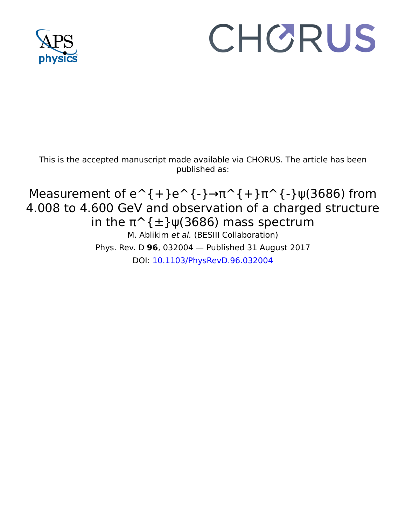

# CHORUS

This is the accepted manuscript made available via CHORUS. The article has been published as:

Measurement of  $e^{\lambda} + e^{\lambda} - \cdots$  +  $\pi^{\lambda} + \pi^{\lambda} - \cdots$  +  $\pi^{\lambda}$ 4.008 to 4.600 GeV and observation of a charged structure in the  $\pi$ <sup>{</sup> $\pm$ }ψ(3686) mass spectrum

> M. Ablikim et al. (BESIII Collaboration) Phys. Rev. D **96**, 032004 — Published 31 August 2017 DOI: [10.1103/PhysRevD.96.032004](http://dx.doi.org/10.1103/PhysRevD.96.032004)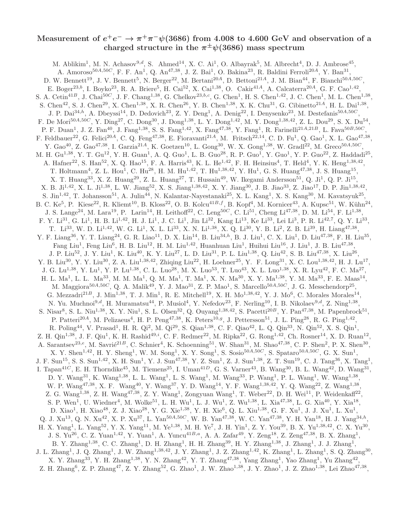# Measurement of  $e^+e^-\rightarrow\pi^+\pi^-\psi(3686)$  from 4.008 to 4.600 GeV and observation of a charged structure in the  $\pi^{\pm}\psi(3686)$  mass spectrum

M. Ablikim<sup>1</sup>, M. N. Achasov<sup>9,d</sup>, S. Ahmed<sup>14</sup>, X. C. Ai<sup>1</sup>, O. Albayrak<sup>5</sup>, M. Albrecht<sup>4</sup>, D. J. Ambrose<sup>45</sup>, A. Amoroso<sup>50A,50C</sup>, F. F. An<sup>1</sup>, Q. An<sup>47,38</sup>, J. Z. Bai<sup>1</sup>, O. Bakina<sup>23</sup>, R. Baldini Ferroli<sup>20A</sup>, Y. Ban<sup>31</sup>, D. W. Bennett<sup>19</sup>, J. V. Bennett<sup>5</sup>, N. Berger<sup>22</sup>, M. Bertani<sup>20A</sup>, D. Bettoni<sup>21A</sup>, J. M. Bian<sup>44</sup>, F. Bianchi<sup>50A,50C</sup>, E. Boger<sup>23,b</sup>, I. Boyko<sup>23</sup>, R. A. Briere<sup>5</sup>, H. Cai<sup>52</sup>, X. Cai<sup>1,38</sup>, O. Cakir<sup>41A</sup>, A. Calcaterra<sup>20A</sup>, G. F. Cao<sup>1,42</sup>, S. A. Cetin<sup>41B</sup>, J. Chai<sup>50C</sup>, J. F. Chang<sup>1,38</sup>, G. Chelkov<sup>23,b,c</sup>, G. Chen<sup>1</sup>, H. S. Chen<sup>1,42</sup>, J. C. Chen<sup>1</sup>, M. L. Chen<sup>1,38</sup>, S. Chen<sup>42</sup>, S. J. Chen<sup>29</sup>, X. Chen<sup>1,38</sup>, X. R. Chen<sup>26</sup>, Y. B. Chen<sup>1,38</sup>, X. K. Chu<sup>31</sup>, G. Cibinetto<sup>21A</sup>, H. L. Dai<sup>1,38</sup>, J. P. Dai<sup>34,h</sup>, A. Dbeyssi<sup>14</sup>, D. Dedovich<sup>23</sup>, Z. Y. Deng<sup>1</sup>, A. Denig<sup>22</sup>, I. Denysenko<sup>23</sup>, M. Destefanis<sup>50A,50C</sup>, F. De Mori<sup>50A,50C</sup>, Y. Ding<sup>27</sup>, C. Dong<sup>30</sup>, J. Dong<sup>1,38</sup>, L. Y. Dong<sup>1,42</sup>, M. Y. Dong<sup>1,38,42</sup>, Z. L. Dou<sup>29</sup>, S. X. Du<sup>54</sup>, P. F. Duan<sup>1</sup>, J. Z. Fan<sup>40</sup>, J. Fang<sup>1,38</sup>, S. S. Fang<sup>1,42</sup>, X. Fang<sup>47,38</sup>, Y. Fang<sup>1</sup>, R. Farinelli<sup>21*A*,21*B*, L. Fava<sup>50*B*,50*C*,</sup></sup> F. Feldbauer<sup>22</sup>, G. Felici<sup>20A</sup>, C. Q. Feng<sup>47,38</sup>, E. Fioravanti<sup>21A</sup>, M. Fritsch<sup>22,14</sup>, C. D. Fu<sup>1</sup>, Q. Gao<sup>1</sup>, X. L. Gao<sup>47,38</sup>, Y. Gao<sup>40</sup>, Z. Gao<sup>47,38</sup>, I. Garzia<sup>21A</sup>, K. Goetzen<sup>10</sup>, L. Gong<sup>30</sup>, W. X. Gong<sup>1,38</sup>, W. Gradl<sup>22</sup>, M. Greco<sup>50A,50C</sup>, M. H. Gu<sup>1,38</sup>, Y. T. Gu<sup>12</sup>, Y. H. Guan<sup>1</sup>, A. Q. Guo<sup>1</sup>, L. B. Guo<sup>28</sup>, R. P. Guo<sup>1</sup>, Y. Guo<sup>1</sup>, Y. P. Guo<sup>22</sup>, Z. Haddadi<sup>25</sup>, A. Hafner<sup>22</sup>, S. Han<sup>52</sup>, X. Q. Hao<sup>15</sup>, F. A. Harris<sup>43</sup>, K. L. He<sup>1,42</sup>, F. H. Heinsius<sup>4</sup>, T. Held<sup>4</sup>, Y. K. Heng<sup>1,38,42</sup>, T. Holtmann<sup>4</sup>, Z. L. Hou<sup>1</sup>, C. Hu<sup>28</sup>, H. M. Hu<sup>1,42</sup>, T. Hu<sup>1,38,42</sup>, Y. Hu<sup>1</sup>, G. S. Huang<sup>47,38</sup>, J. S. Huang<sup>15</sup>, X. T. Huang<sup>33</sup>, X. Z. Huang<sup>29</sup>, Z. L. Huang<sup>27</sup>, T. Hussain<sup>49</sup>, W. Ikegami Andersson<sup>51</sup>, Q. Ji<sup>1</sup>, Q. P. Ji<sup>15</sup>, X. B. Ji<sup>1,42</sup>, X. L. Ji<sup>1,38</sup>, L. W. Jiang<sup>52</sup>, X. S. Jiang<sup>1,38,42</sup>, X. Y. Jiang<sup>30</sup>, J. B. Jiao<sup>33</sup>, Z. Jiao<sup>17</sup>, D. P. Jin<sup>1,38,42</sup>, S. Jin<sup>1,42</sup>, T. Johansson<sup>51</sup>, A. Julin<sup>44</sup>, N. Kalantar-Nayestanaki<sup>25</sup>, X. L. Kang<sup>1</sup>, X. S. Kang<sup>30</sup>, M. Kavatsyuk<sup>25</sup>, B. C. Ke<sup>5</sup>, P. Kiese<sup>22</sup>, R. Kliemt<sup>10</sup>, B. Kloss<sup>22</sup>, O. B. Kolcu<sup>41B,f</sup>, B. Kopf<sup>4</sup>, M. Kornicer<sup>43</sup>, A. Kupsc<sup>51</sup>, W. Kühn<sup>24</sup>, J. S. Lange<sup>24</sup>, M. Lara<sup>19</sup>, P. Larin<sup>14</sup>, H. Leithoff<sup>22</sup>, C. Leng<sup>50C</sup>, C. Li<sup>51</sup>, Cheng Li<sup>47,38</sup>, D. M. Li<sup>54</sup>, F. Li<sup>1,38</sup>, F. Y. Li<sup>31</sup>, G. Li<sup>1</sup>, H. B. Li<sup>1,42</sup>, H. J. Li<sup>1</sup>, J. C. Li<sup>1</sup>, Jin Li<sup>32</sup>, Kang Li<sup>13</sup>, Ke Li<sup>33</sup>, Lei Li<sup>3</sup>, P. R. Li<sup>42,7</sup>, Q. Y. Li<sup>33</sup>, T.  $Li^{33}$ , W. D.  $Li^{1,42}$ , W. G.  $Li^1$ , X. L.  $Li^{33}$ , X. N.  $Li^{1,38}$ , X. Q.  $Li^{30}$ , Y. B.  $Li^2$ , Z. B.  $Li^{39}$ , H.  $Liang^{47,38}$ , Y. F. Liang<sup>36</sup>, Y. T. Liang<sup>24</sup>, G. R. Liao<sup>11</sup>, D. X. Lin<sup>14</sup>, B. Liu<sup>34,h</sup>, B. J. Liu<sup>1</sup>, C. X. Liu<sup>1</sup>, D. Liu<sup>47,38</sup>, F. H. Liu<sup>35</sup>, Fang Liu<sup>1</sup>, Feng Liu<sup>6</sup>, H. B. Liu<sup>12</sup>, H. M. Liu<sup>1,42</sup>, Huanhuan Liu<sup>1</sup>, Huihui Liu<sup>16</sup>, J. Liu<sup>1</sup>, J. B. Liu<sup>47,38</sup>, J. P. Liu<sup>52</sup>, J. Y. Liu<sup>1</sup>, K. Liu<sup>40</sup>, K. Y. Liu<sup>27</sup>, L. D. Liu<sup>31</sup>, P. L. Liu<sup>1,38</sup>, Q. Liu<sup>42</sup>, S. B. Liu<sup>47,38</sup>, X. Liu<sup>26</sup>, Y. B. Liu<sup>30</sup>, Y. Y. Liu<sup>30</sup>, Z. A. Liu<sup>1,38,42</sup>, Zhiqing Liu<sup>22</sup>, H. Loehner<sup>25</sup>, Y. F. Long<sup>31</sup>, X. C. Lou<sup>1,38,42</sup>, H. J. Lu<sup>17</sup>, J. G. Lu<sup>1,38</sup>, Y. Lu<sup>1</sup>, Y. P. Lu<sup>1,38</sup>, C. L. Luo<sup>28</sup>, M. X. Luo<sup>53</sup>, T. Luo<sup>43</sup>, X. L. Luo<sup>1,38</sup>, X. R. Lyu<sup>42</sup>, F. C. Ma<sup>27</sup>, H. L. Ma<sup>1</sup>, L. L. Ma<sup>33</sup>, M. M. Ma<sup>1</sup>, Q. M. Ma<sup>1</sup>, T. Ma<sup>1</sup>, X. N. Ma<sup>30</sup>, X. Y. Ma<sup>1,38</sup>, Y. M. Ma<sup>33</sup>, F. E. Maas<sup>14</sup>, M. Maggiora<sup>50,4,50C</sup>, Q. A. Malik<sup>49</sup>, Y. J. Mao<sup>31</sup>, Z. P. Mao<sup>1</sup>, S. Marcello<sup>50,4,50C</sup>, J. G. Messchendorp<sup>25</sup>, G. Mezzadri<sup>21B</sup>, J. Min<sup>1,38</sup>, T. J. Min<sup>1</sup>, R. E. Mitchell<sup>19</sup>, X. H. Mo<sup>1,38,42</sup>, Y. J. Mo<sup>6</sup>, C. Morales Morales<sup>14</sup>, N. Yu. Muchnoi<sup>9,d</sup>, H. Muramatsu<sup>44</sup>, P. Musiol<sup>4</sup>, Y. Nefedov<sup>23</sup>, F. Nerling<sup>10</sup>, I. B. Nikolaev<sup>9,d</sup>, Z. Ning<sup>1,38</sup>, S. Nisar<sup>8</sup>, S. L. Niu<sup>1,38</sup>, X. Y. Niu<sup>1</sup>, S. L. Olsen<sup>32</sup>, Q. Ouyang<sup>1,38,42</sup>, S. Pacetti<sup>20B</sup>, Y. Pan<sup>47,38</sup>, M. Papenbrock<sup>51</sup>, P. Patteri<sup>20A</sup>, M. Pelizaeus<sup>4</sup>, H. P. Peng<sup>47,38</sup>, K. Peters<sup>10,9</sup>, J. Pettersson<sup>51</sup>, J. L. Ping<sup>28</sup>, R. G. Ping<sup>1,42</sup>, R. Poling<sup>44</sup>, V. Prasad<sup>1</sup>, H. R. Qi<sup>2</sup>, M. Qi<sup>29</sup>, S. Qian<sup>1,38</sup>, C. F. Qiao<sup>42</sup>, L. Q. Qin<sup>33</sup>, N. Qin<sup>52</sup>, X. S. Qin<sup>1</sup>, Z. H. Qin<sup>1,38</sup>, J. F. Qiu<sup>1</sup>, K. H. Rashid<sup>49,i</sup>, C. F. Redmer<sup>22</sup>, M. Ripka<sup>22</sup>, G. Rong<sup>1,42</sup>, Ch. Rosner<sup>14</sup>, X. D. Ruan<sup>12</sup>, A. Sarantsev<sup>23,e</sup>, M. Savrié<sup>21B</sup>, C. Schnier<sup>4</sup>, K. Schoenning<sup>51</sup>, W. Shan<sup>31</sup>, M. Shao<sup>47,38</sup>, C. P. Shen<sup>2</sup>, P. X. Shen<sup>30</sup>, X. Y. Shen<sup>1,42</sup>, H. Y. Sheng<sup>1</sup>, W. M. Song<sup>1</sup>, X. Y. Song<sup>1</sup>, S. Sosio<sup>50A,50C</sup>, S. Spataro<sup>50A,50C</sup>, G. X. Sun<sup>1</sup>, J. F. Sun<sup>15</sup>, S. S. Sun<sup>1,42</sup>, X. H. Sun<sup>1</sup>, Y. J. Sun<sup>47,38</sup>, Y. Z. Sun<sup>1</sup>, Z. J. Sun<sup>1,38</sup>, Z. T. Sun<sup>19</sup>, C. J. Tang<sup>36</sup>, X. Tang<sup>1</sup>, I. Tapan<sup>41C</sup>, E. H. Thorndike<sup>45</sup>, M. Tiemens<sup>25</sup>, I. Uman<sup>41D</sup>, G. S. Varner<sup>43</sup>, B. Wang<sup>30</sup>, B. L. Wang<sup>42</sup>, D. Wang<sup>31</sup>, D. Y. Wang<sup>31</sup>, K. Wang<sup>1,38</sup>, L. L. Wang<sup>1</sup>, L. S. Wang<sup>1</sup>, M. Wang<sup>33</sup>, P. Wang<sup>1</sup>, P. L. Wang<sup>1</sup>, W. Wang<sup>1,38</sup>, W. P. Wang<sup>47,38</sup>, X. F. Wang<sup>40</sup>, Y. Wang<sup>37</sup>, Y. D. Wang<sup>14</sup>, Y. F. Wang<sup>1,38,42</sup>, Y. Q. Wang<sup>22</sup>, Z. Wang<sup>1,38</sup>, Z. G. Wang<sup>1,38</sup>, Z. H. Wang<sup>47,38</sup>, Z. Y. Wang<sup>1</sup>, Zongyuan Wang<sup>1</sup>, T. Weber<sup>22</sup>, D. H. Wei<sup>11</sup>, P. Weidenkaff<sup>22</sup>, S. P. Wen<sup>1</sup>, U. Wiedner<sup>4</sup>, M. Wolke<sup>51</sup>, L. H. Wu<sup>1</sup>, L. J. Wu<sup>1</sup>, Z. Wu<sup>1,38</sup>, L. Xia<sup>47,38</sup>, L. G. Xia<sup>40</sup>, Y. Xia<sup>18</sup>, D. Xiao<sup>1</sup>, H. Xiao<sup>48</sup>, Z. J. Xiao<sup>28</sup>, Y. G. Xie<sup>1,38</sup>, Y. H. Xie<sup>6</sup>, Q. L. Xiu<sup>1,38</sup>, G. F. Xu<sup>1</sup>, J. J. Xu<sup>1</sup>, L. Xu<sup>1</sup>, Q. J. Xu<sup>13</sup>, Q. N. Xu<sup>42</sup>, X. P. Xu<sup>37</sup>, L. Yan<sup>50A,50C</sup>, W. B. Yan<sup>47,38</sup>, W. C. Yan<sup>47,38</sup>, Y. H. Yan<sup>18</sup>, H. J. Yang<sup>34,h</sup>, H. X. Yang<sup>1</sup>, L. Yang<sup>52</sup>, Y. X. Yang<sup>11</sup>, M. Ye<sup>1,38</sup>, M. H. Ye<sup>7</sup>, J. H. Yin<sup>1</sup>, Z. Y. You<sup>39</sup>, B. X. Yu<sup>1,38,42</sup>, C. X. Yu<sup>30</sup>, J. S. Yu<sup>26</sup>, C. Z. Yuan<sup>1,42</sup>, Y. Yuan<sup>1</sup>, A. Yuncu<sup>41B,a</sup>, A. A. Zafar<sup>49</sup>, Y. Zeng<sup>18</sup>, Z. Zeng<sup>47,38</sup>, B. X. Zhang<sup>1</sup>, B. Y. Zhang<sup>1,38</sup>, C. C. Zhang<sup>1</sup>, D. H. Zhang<sup>1</sup>, H. H. Zhang<sup>39</sup>, H. Y. Zhang<sup>1,38</sup>, J. Zhang<sup>1</sup>, J. J. Zhang<sup>1</sup>, J. L. Zhang<sup>1</sup>, J. Q. Zhang<sup>1</sup>, J. W. Zhang<sup>1,38,42</sup>, J. Y. Zhang<sup>1</sup>, J. Z. Zhang<sup>1,42</sup>, K. Zhang<sup>1</sup>, L. Zhang<sup>1</sup>, S. Q. Zhang<sup>30</sup>, X. Y. Zhang<sup>33</sup>, Y. H. Zhang<sup>1,38</sup>, Y. N. Zhang<sup>42</sup>, Y. T. Zhang<sup>47,38</sup>, Yang Zhang<sup>1</sup>, Yao Zhang<sup>1</sup>, Yu Zhang<sup>42</sup>, Z. H. Zhang<sup>6</sup>, Z. P. Zhang<sup>47</sup>, Z. Y. Zhang<sup>52</sup>, G. Zhao<sup>1</sup>, J. W. Zhao<sup>1,38</sup>, J. Y. Zhao<sup>1</sup>, J. Z. Zhao<sup>1,38</sup>, Lei Zhao<sup>47,38</sup>,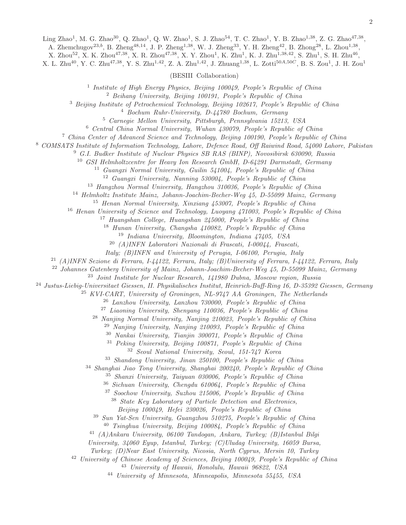Ling Zhao<sup>1</sup>, M. G. Zhao<sup>30</sup>, Q. Zhao<sup>1</sup>, Q. W. Zhao<sup>1</sup>, S. J. Zhao<sup>54</sup>, T. C. Zhao<sup>1</sup>, Y. B. Zhao<sup>1,38</sup>, Z. G. Zhao<sup>47,38</sup>,

A. Zhemchugov<sup>23,b</sup>, B. Zheng<sup>48,14</sup>, J. P. Zheng<sup>1,38</sup>, W. J. Zheng<sup>33</sup>, Y. H. Zheng<sup>42</sup>, B. Zhong<sup>28</sup>, L. Zhou<sup>1,38</sup>,

 $X.$  Zhou<sup>52</sup>, X. K. Zhou<sup>47,38</sup>, X. R. Zhou<sup>47,38</sup>, X. Y. Zhou<sup>1</sup>, K. Zhu<sup>1</sup>, K. J. Zhu<sup>1,38,42</sup>, S. Zhu<sup>1</sup>, S. H. Zhu<sup>46</sup>,

X. L. Zhu<sup>40</sup>, Y. C. Zhu<sup>47,38</sup>, Y. S. Zhu<sup>1,42</sup>, Z. A. Zhu<sup>1,42</sup>, J. Zhuang<sup>1,38</sup>, L. Zotti<sup>50*A*,50*C*, B. S. Zou<sup>1</sup>, J. H. Zou<sup>1</sup></sup>

(BESIII Collaboration)

<sup>1</sup> Institute of High Energy Physics, Beijing 100049, People's Republic of China

Beihang University, Beijing 100191, People's Republic of China

<sup>3</sup> Beijing Institute of Petrochemical Technology, Beijing 102617, People's Republic of China

Bochum Ruhr-University, D-44780 Bochum, Germany

Carnegie Mellon University, Pittsburgh, Pennsylvania 15213, USA

Central China Normal University, Wuhan 430079, People's Republic of China

China Center of Advanced Science and Technology, Beijing 100190, People's Republic of China

COMSATS Institute of Information Technology, Lahore, Defence Road, Off Raiwind Road, 54000 Lahore, Pakistan

G.I. Budker Institute of Nuclear Physics SB RAS (BINP), Novosibirsk 630090, Russia

GSI Helmholtzcentre for Heavy Ion Research GmbH, D-64291 Darmstadt, Germany

Guangxi Normal University, Guilin 541004, People's Republic of China

Guangxi University, Nanning 530004, People's Republic of China

Hangzhou Normal University, Hangzhou 310036, People's Republic of China

Helmholtz Institute Mainz, Johann-Joachim-Becher-Weg 45, D-55099 Mainz, Germany

Henan Normal University, Xinxiang 453007, People's Republic of China

<sup>16</sup> Henan University of Science and Technology, Luoyang 471003, People's Republic of China

Huangshan College, Huangshan 245000, People's Republic of China

Hunan University, Changsha 410082, People's Republic of China

Indiana University, Bloomington, Indiana 47405, USA

(A)INFN Laboratori Nazionali di Frascati, I-00044, Frascati,

Italy; (B)INFN and University of Perugia, I-06100, Perugia, Italy

<sup>21</sup> (A)INFN Sezione di Ferrara, I-44122, Ferrara, Italy; (B)University of Ferrara, I-44122, Ferrara, Italy

Johannes Gutenberg University of Mainz, Johann-Joachim-Becher-Weg 45, D-55099 Mainz, Germany

Joint Institute for Nuclear Research, 141980 Dubna, Moscow region, Russia

Justus-Liebig-Universitaet Giessen, II. Physikalisches Institut, Heinrich-Buff-Ring 16, D-35392 Giessen, Germany

 $^{25}$  KVI-CART, University of Groningen, NL-9747 AA Groningen, The Netherlands

Lanzhou University, Lanzhou 730000, People's Republic of China

Liaoning University, Shenyang 110036, People's Republic of China

Nanjing Normal University, Nanjing 210023, People's Republic of China

Nanjing University, Nanjing 210093, People's Republic of China

Nankai University, Tianjin 300071, People's Republic of China

Peking University, Beijing 100871, People's Republic of China

Seoul National University, Seoul, 151-747 Korea

Shandong University, Jinan 250100, People's Republic of China

Shanghai Jiao Tong University, Shanghai 200240, People's Republic of China

Shanxi University, Taiyuan 030006, People's Republic of China

Sichuan University, Chengdu 610064, People's Republic of China

Soochow University, Suzhou 215006, People's Republic of China

State Key Laboratory of Particle Detection and Electronics,

Beijing 100049, Hefei 230026, People's Republic of China

Sun Yat-Sen University, Guangzhou 510275, People's Republic of China

Tsinghua University, Beijing 100084, People's Republic of China

(A)Ankara University, 06100 Tandogan, Ankara, Turkey; (B)Istanbul Bilgi

University, 34060 Eyup, Istanbul, Turkey; (C)Uludag University, 16059 Bursa,

Turkey; (D)Near East University, Nicosia, North Cyprus, Mersin 10, Turkey

University of Chinese Academy of Sciences, Beijing 100049, People's Republic of China

University of Hawaii, Honolulu, Hawaii 96822, USA

University of Minnesota, Minneapolis, Minnesota 55455, USA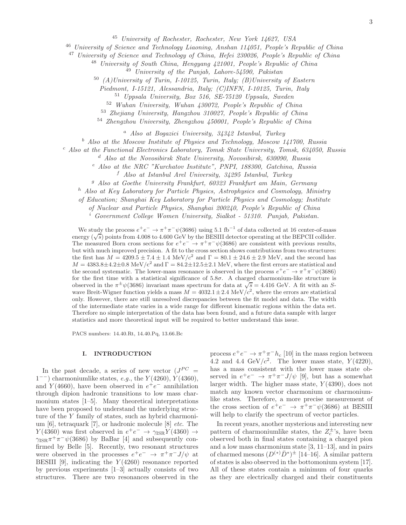<sup>45</sup> University of Rochester, Rochester, New York 14627, USA

<sup>46</sup> University of Science and Technology Liaoning, Anshan 114051, People's Republic of China

<sup>47</sup> University of Science and Technology of China, Hefei 230026, People's Republic of China

<sup>48</sup> University of South China, Hengyang 421001, People's Republic of China

 $^{49}$  University of the Punjab, Lahore-54590, Pakistan

 $50$  (A)University of Turin, I-10125, Turin, Italy; (B)University of Eastern

Piedmont, I-15121, Alessandria, Italy; (C)INFN, I-10125, Turin, Italy

<sup>51</sup> Uppsala University, Box 516, SE-75120 Uppsala, Sweden

<sup>52</sup> Wuhan University, Wuhan 430072, People's Republic of China

<sup>53</sup> Zhejiang University, Hangzhou 310027, People's Republic of China

<sup>54</sup> Zhengzhou University, Zhengzhou 450001, People's Republic of China

<sup>a</sup> Also at Bogazici University, 34342 Istanbul, Turkey

 $b$  Also at the Moscow Institute of Physics and Technology, Moscow 141700, Russia

 $c$  Also at the Functional Electronics Laboratory, Tomsk State University, Tomsk, 634050, Russia

<sup>d</sup> Also at the Novosibirsk State University, Novosibirsk, 630090, Russia

<sup>e</sup> Also at the NRC "Kurchatov Institute", PNPI, 188300, Gatchina, Russia

<sup>f</sup> Also at Istanbul Arel University, 34295 Istanbul, Turkey

<sup>g</sup> Also at Goethe University Frankfurt, 60323 Frankfurt am Main, Germany

<sup>h</sup> Also at Key Laboratory for Particle Physics, Astrophysics and Cosmology, Ministry

of Education; Shanghai Key Laboratory for Particle Physics and Cosmology; Institute

of Nuclear and Particle Physics, Shanghai 200240, People's Republic of China

<sup>i</sup> Government College Women University, Sialkot - 51310. Punjab, Pakistan.

We study the process  $e^+e^- \to \pi^+\pi^-\psi(3686)$  using 5.1 fb<sup>-1</sup> of data collected at 16 center-of-mass energy  $(\sqrt{s})$  points from 4.008 to 4.600 GeV by the BESIII detector operating at the BEPCII collider. The measured Born cross sections for  $e^+e^- \to \pi^+\pi^-\psi(3686)$  are consistent with previous results, but with much improved precision. A fit to the cross section shows contributions from two structures: the first has  $M = 4209.5 \pm 7.4 \pm 1.4 \text{ MeV}/c^2$  and  $\Gamma = 80.1 \pm 24.6 \pm 2.9 \text{ MeV}$ , and the second has  $M = 4383.8 \pm 4.2 \pm 0.8$  MeV/c<sup>2</sup> and  $\Gamma = 84.2 \pm 12.5 \pm 2.1$  MeV, where the first errors are statistical and the second systematic. The lower-mass resonance is observed in the process  $e^+e^- \to \pi^+\pi^-\psi(3686)$ for the first time with a statistical significance of  $5.8\sigma$ . A charged charmonium-like structure is observed in the  $\pi^{\pm}\psi(3686)$  invariant mass spectrum for data at  $\sqrt{s} = 4.416$  GeV. A fit with an Swave Breit-Wigner function yields a mass  $M = 4032.1 \pm 2.4 \text{ MeV}/c^2$ , where the errors are statistical only. However, there are still unresolved discrepancies between the fit model and data. The width of the intermediate state varies in a wide range for different kinematic regions within the data set. Therefore no simple interpretation of the data has been found, and a future data sample with larger statistics and more theoretical input will be required to better understand this issue.

PACS numbers: 14.40.Rt, 14.40.Pq, 13.66.Bc

## I. INTRODUCTION

In the past decade, a series of new vector  $(J^{PC} =$  $1^{--}$ ) charmoniumlike states, e.g., the  $Y(4260)$ ,  $Y(4360)$ , and  $Y(4660)$ , have been observed in  $e^+e^-$  annihilation through dipion hadronic transitions to low mass charmonium states [1–5]. Many theoretical interpretations have been proposed to understand the underlying structure of the Y family of states, such as hybrid charmonium  $[6]$ , tetraquark  $[7]$ , or hadronic molecule  $[8]$  *etc.* The  $Y(4360)$  was first observed in  $e^+e^- \rightarrow \gamma_{\rm ISR}Y(4360) \rightarrow$  $\gamma_{\rm ISR}\pi^+\pi^-\psi(3686)$  by BaBar [4] and subsequently confirmed by Belle [5]. Recently, two resonant structures were observed in the processes  $e^+e^- \rightarrow \pi^+\pi^-J/\psi$  at BESIII [9], indicating the  $Y(4260)$  resonance reported by previous experiments [1–3] actually consists of two structures. There are two resonances observed in the

process  $e^+e^- \to \pi^+\pi^-h_c$  [10] in the mass region between 4.2 and 4.4 GeV/ $c^2$ . The lower mass state,  $Y(4220)$ , has a mass consistent with the lower mass state observed in  $e^+e^- \rightarrow \pi^+\pi^-J/\psi$  [9], but has a somewhat larger width. The higher mass state,  $Y(4390)$ , does not match any known vector charmonium or charmoniumlike states. Therefore, a more precise measurement of the cross section of  $e^+e^- \rightarrow \pi^+\pi^-\psi(3686)$  at BESIII will help to clarify the spectrum of vector particles.

In recent years, another mysterious and interesting new pattern of charmoniumlike states, the  $Z_c^{\pm}$ 's, have been observed both in final states containing a charged pion and a low mass charmonium state [3, 11–13], and in pairs of charmed mesons  $(D^{(*)}\bar{D}^*)^{\pm}$  [14–16]. A similar pattern of states is also observed in the bottomonium system [17]. All of these states contain a minimum of four quarks as they are electrically charged and their constituents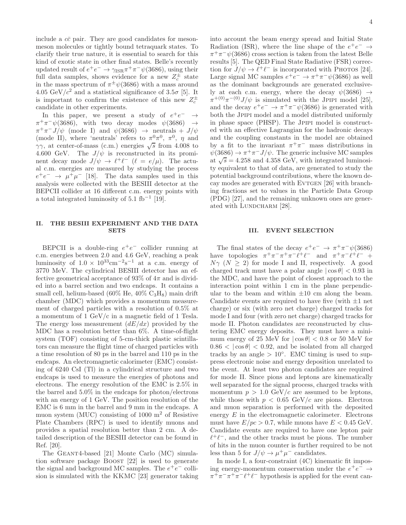include a  $c\bar{c}$  pair. They are good candidates for mesonmeson molecules or tightly bound tetraquark states. To clarify their true nature, it is essential to search for this kind of exotic state in other final states. Belle's recently updated result of  $e^+e^- \to \gamma_{\rm ISR}\pi^+\pi^-\psi(3686)$ , using their full data samples, shows evidence for a new  $Z_c^{\pm}$  state in the mass spectrum of  $\pi^{\pm}\psi(3686)$  with a mass around 4.05 GeV/ $c^2$  and a statistical significance of 3.5 $\sigma$  [5]. It is important to confirm the existence of this new  $Z_c^{\pm}$ candidate in other experiments.

In this paper, we present a study of  $e^+e^- \rightarrow$  $\pi^+\pi^-\psi(3686)$ , with two decay modes  $\psi(3686) \rightarrow$  $\pi^+\pi^-J/\psi$  (mode I) and  $\psi(3686) \rightarrow$  neutrals +  $J/\psi$ (mode II), where 'neutrals' refers to  $\pi^0 \pi^0$ ,  $\pi^0$ ,  $\eta$  and  $γγ$ , at center-of-mass (c.m.) energies  $\sqrt{s}$  from 4.008 to 4.600 GeV. The  $J/\psi$  is reconstructed in its prominent decay mode  $J/\psi \to \ell^+ \ell^-$  ( $\ell = e/\mu$ ). The actual c.m. energies are measured by studying the process  $e^+e^- \rightarrow \mu^+\mu^-$  [18]. The data samples used in this analysis were collected with the BESIII detector at the BEPCII collider at 16 different c.m. energy points with a total integrated luminosity of  $5.1 \text{ fb}^{-1}$  [19].

### II. THE BESIII EXPERIMENT AND THE DATA SETS

BEPCII is a double-ring  $e^+e^-$  collider running at c.m. energies between 2.0 and 4.6 GeV, reaching a peak luminosity of  $1.0 \times 10^{33} \text{cm}^{-2} \text{s}^{-1}$  at a c.m. energy of 3770 MeV. The cylindrical BESIII detector has an effective geometrical acceptance of 93% of  $4\pi$  and is divided into a barrel section and two endcaps. It contains a small cell, helium-based  $(60\% \text{ He}, 40\% \text{ C}_3\text{H}_8)$  main drift chamber (MDC) which provides a momentum measurement of charged particles with a resolution of 0.5% at a momentum of 1 GeV/c in a magnetic field of 1 Tesla. The energy loss measurement  $(dE/dx)$  provided by the MDC has a resolution better than 6%. A time-of-flight system (TOF) consisting of 5-cm-thick plastic scintillators can measure the flight time of charged particles with a time resolution of 80 ps in the barrel and 110 ps in the endcaps. An electromagnetic calorimeter (EMC) consisting of 6240 CsI (Tl) in a cylindrical structure and two endcaps is used to measure the energies of photons and electrons. The energy resolution of the EMC is 2.5% in the barrel and 5.0% in the endcaps for photon/electrons with an energy of 1 GeV. The position resolution of the EMC is 6 mm in the barrel and 9 mm in the endcaps. A muon system (MUC) consisting of 1000  $m<sup>2</sup>$  of Resistive Plate Chambers (RPC) is used to identify muons and provides a spatial resolution better than 2 cm. A detailed description of the BESIII detector can be found in Ref. [20].

The Geant4-based [21] Monte Carlo (MC) simulation software package BOOST [22] is used to generate the signal and background MC samples. The  $e^+e^-$  collision is simulated with the KKMC [23] generator taking into account the beam energy spread and Initial State Radiation (ISR), where the line shape of the  $e^+e^- \rightarrow$  $\pi^+\pi^-\psi(3686)$  cross section is taken from the latest Belle results [5]. The QED Final State Radiative (FSR) correction for  $J/\psi \to \ell^+ \ell^-$  is incorporated with PHOTOS [24]. Large signal MC samples  $e^+e^- \to \pi^+\pi^-\psi(3686)$  as well as the dominant backgrounds are generated exclusively at each c.m. energy, where the decay  $\psi(3686) \rightarrow$  $\pi^{+(0)}\pi^{-(0)}J/\psi$  is simulated with the JPIPI model [25], and the decay  $e^+e^- \to \pi^+\pi^-\psi(3686)$  is generated with both the Jpipi model and a model distributed uniformly in phase space (PHSP). The Jpipi model is constructed with an effective Lagrangian for the hadronic decays and the coupling constants in the model are obtained by a fit to the invariant  $\pi^+\pi^-$  mass distributions in  $\psi(3686) \rightarrow \pi^+\pi^- J/\psi$ . The generic inclusive MC samples at  $\sqrt{s}$  = 4.258 and 4.358 GeV, with integrated luminosity equivalent to that of data, are generated to study the potential background contributions, where the known decay modes are generated with EVTGEN [26] with branching fractions set to values in the Particle Data Group (PDG) [27], and the remaining unknown ones are generated with LUNDCHARM [28].

#### III. EVENT SELECTION

The final states of the decay  $e^+e^- \rightarrow \pi^+\pi^-\psi(3686)$ have topologies  $\pi^+\pi^-\pi^+\pi^-\ell^+\ell^-$  and  $\pi^+\pi^-\ell^+\ell^ N\gamma$  ( $N \geq 2$ ) for mode I and II, respectively. A good charged track must have a polar angle  $|\cos \theta|$  < 0.93 in the MDC, and have the point of closest approach to the interaction point within 1 cm in the plane perpendicular to the beam and within  $\pm 10$  cm along the beam. Candidate events are required to have five (with  $\pm 1$  net charge) or six (with zero net charge) charged tracks for mode I and four (with zero net charge) charged tracks for mode II. Photon candidates are reconstructed by clustering EMC energy deposits. They must have a minimum energy of 25 MeV for  $|\cos \theta|$  < 0.8 or 50 MeV for  $0.86 < |\cos \theta| < 0.92$ , and be isolated from all charged tracks by an angle  $> 10°$ . EMC timing is used to suppress electronic noise and energy deposition unrelated to the event. At least two photon candidates are required for mode II. Since pions and leptons are kinematically well separated for the signal process, charged tracks with momentum  $p > 1.0 \text{ GeV}/c$  are assumed to be leptons, while those with  $p < 0.65$  GeV/c are pions. Electron and muon separation is performed with the deposited energy  $E$  in the electromagnetic calorimeter. Electrons must have  $E/pc > 0.7$ , while muons have  $E < 0.45$  GeV. Candidate events are required to have one lepton pair  $\ell^+\ell^-$ , and the other tracks must be pions. The number of hits in the muon counter is further required to be not less than 5 for  $J/\psi \to \mu^+\mu^-$  candidates.

In mode I, a four-constraint (4C) kinematic fit imposing energy-momentum conservation under the  $e^+e^- \rightarrow$  $\pi^+\pi^-\pi^+\pi^-\ell^+\ell^-$  hypothesis is applied for the event can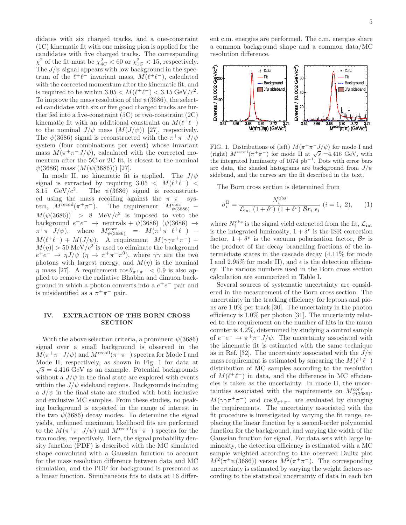didates with six charged tracks, and a one-constraint (1C) kinematic fit with one missing pion is applied for the candidates with five charged tracks. The corresponding  $\chi^2$  of the fit must be  $\chi^2_{4C} < 60$  or  $\chi^2_{1C} < 15$ , respectively. The  $J/\psi$  signal appears with low background in the spectrum of the  $\ell^+\ell^-$  invariant mass,  $M(\ell^+\ell^-)$ , calculated with the corrected momentum after the kinematic fit, and is required to be within  $3.05 < M(\ell^+\ell^-) < 3.15 \text{ GeV}/c^2$ . To improve the mass resolution of the  $\psi(3686)$ , the selected candidates with six or five good charged tracks are further fed into a five-constraint (5C) or two-constraint (2C) kinematic fit with an additional constraint on  $M(\ell^+\ell^-)$ to the nominal  $J/\psi$  mass  $(M(J/\psi))$  [27], respectively. The  $\psi(3686)$  signal is reconstructed with the  $\pi^{+}\pi^{-}J/\psi$ system (four combinations per event) whose invariant mass  $M(\pi^+\pi^-J/\psi)$ , calculated with the corrected momentum after the 5C or 2C fit, is closest to the nominal  $\psi(3686)$  mass  $(M(\psi(3686)))$  [27].

In mode II, no kinematic fit is applied. The  $J/\psi$ signal is extracted by requiring  $3.05 < M(\ell^+\ell^-) <$ 3.15  $\text{GeV}/c^2$ The  $\psi(3686)$  signal is reconstructed using the mass recoiling against the  $\pi^+\pi^-$  system,  $M^{\text{recoil}}(\pi^+\pi^-)$ . The requirement  $|M_{\psi(3686)}^{\text{corr}}|$  $M(\psi(3686))$  > 8 MeV/ $c^2$  is imposed to veto the background  $e^+e^- \rightarrow$  neutrals +  $\psi(3686) (\psi(3686) \rightarrow$  $\pi^+\pi^-J/\psi$ ), where  $M_{\psi(3686)}^{\text{corr}} = M(\pi^+\pi^-\ell^+\ell^-)$  –  $M(\ell^+\ell^-) + M(J/\psi)$ . A requirement  $M(\gamma\gamma\pi^+\pi^-)$  –  $|M(\eta)| > 50$  MeV/ $c^2$  is used to eliminate the background  $e^+e^- \to \eta J/\psi \ (\eta \to \pi^+\pi^-\pi^0)$ , where  $\gamma\gamma$  are the two photons with largest energy, and  $M(\eta)$  is the nominal  $\eta$  mass [27]. A requirement  $\cos \theta_{\pi^+\pi^-} < 0.9$  is also applied to remove the radiative Bhabha and dimuon background in which a photon converts into a  $e^+e^-$  pair and is misidentified as a  $\pi^+\pi^-$  pair.

# IV. EXTRACTION OF THE BORN CROSS **SECTION**

With the above selection criteria, a prominent  $\psi(3686)$ signal over a small background is observed in the  $M(\pi^+\pi^-J/\psi)$  and  $M^{\text{recoil}}(\pi^+\pi^-)$  spectra for Mode I and Mode II, respectively, as shown in Fig. 1 for data at  $\sqrt{s}$  = 4.416 GeV as an example. Potential backgrounds without a  $J/\psi$  in the final state are explored with events within the  $J/\psi$  sideband regions. Backgrounds including a  $J/\psi$  in the final state are studied with both inclusive and exclusive MC samples. From these studies, no peaking background is expected in the range of interest in the two  $\psi(3686)$  decay modes. To determine the signal yields, unbinned maximum likelihood fits are performed to the  $M(\pi^+\pi^-J/\psi)$  and  $M^{\text{recoil}}(\pi^+\pi^-)$  spectra for the two modes, respectively. Here, the signal probability density function (PDF) is described with the MC simulated shape convoluted with a Gaussian function to account for the mass resolution difference between data and MC simulation, and the PDF for background is presented as a linear function. Simultaneous fits to data at 16 different c.m. energies are performed. The c.m. energies share a common background shape and a common data/MC resolution difference.



FIG. 1. Distributions of (left)  $M(\pi^+\pi^-J/\psi)$  for mode I and (right)  $M^{\text{recoil}}(\pi^+\pi^-)$  for mode II at  $\sqrt{s}$  =4.416 GeV, with the integrated luminosity of 1074 pb<sup>-1</sup>. Dots with error bars are data, the shaded histograms are background from  $J/\psi$ sideband, and the curves are the fit described in the text.

The Born cross section is determined from

$$
\sigma_i^{\text{B}} = \frac{N_i^{\text{obs}}}{\mathcal{L}_{\text{int}} \left(1 + \delta^r\right) \left(1 + \delta^v\right) \mathcal{B} r_i \ \epsilon_i} \ (i = 1, \ 2), \qquad (1)
$$

where  $N_i^{\text{obs}}$  is the signal yield extracted from the fit,  $\mathcal{L}_{\text{int}}$ is the integrated luminosity,  $1 + \delta^r$  is the ISR correction factor,  $1 + \delta^v$  is the vacuum polarization factor,  $\mathcal{B}r$  is the product of the decay branching fractions of the intermediate states in the cascade decay (4.11% for mode I and 2.95% for mode II), and  $\epsilon$  is the detection efficiency. The various numbers used in the Born cross section calculation are summarized in Table I.

Several sources of systematic uncertainty are considered in the measurement of the Born cross section. The uncertainty in the tracking efficiency for leptons and pions are 1.0% per track [30]. The uncertainty in the photon efficiency is 1.0% per photon [31]. The uncertainty related to the requirement on the number of hits in the muon counter is 4.2%, determined by studying a control sample of  $e^+e^- \to \pi^+\pi^- J/\psi$ . The uncertainty associated with the kinematic fit is estimated with the same technique as in Ref. [32]. The uncertainty associated with the  $J/\psi$ mass requirement is estimated by smearing the  $M(\ell^+\ell^-)$ distribution of MC samples according to the resolution of  $M(\ell^+\ell^-)$  in data, and the difference in MC efficiencies is taken as the uncertainty. In mode II, the uncertainties associated with the requirements on  $M_{\psi(3686)}^{corr}$ ,  $M(\gamma\gamma\pi^+\pi^-)$  and  $\cos\theta_{\pi^+\pi^-}$  are evaluated by changing the requirements. The uncertainty associated with the fit procedure is investigated by varying the fit range, replacing the linear function by a second-order polynomial function for the background, and varying the width of the Gaussian function for signal. For data sets with large luminosity, the detection efficiency is estimated with a MC sample weighted according to the observed Dalitz plot  $M^2(\pi^+\psi(3686))$  versus  $M^2(\pi^+\pi^-)$ . The corresponding uncertainty is estimated by varying the weight factors according to the statistical uncertainty of data in each bin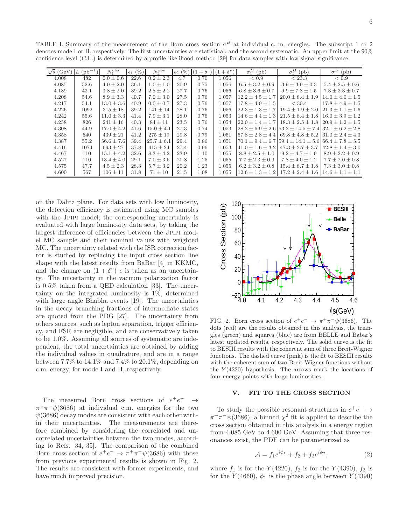TABLE I. Summary of the measurement of the Born cross section  $\sigma^B$  at individual c. m. energies. The subscript 1 or 2 denotes mode I or II, respectively. The first uncertainties are statistical, and the second systematic. An upper limit at the 90% confidence level (C.L.) is determined by a profile likelihood method [29] for data samples with low signal significance.

| $\sqrt{s}$ (GeV) | pb.  | $N_1^{\rm obs}$ | $(\% )$<br>$\epsilon_1$ | $N_2^{\rm obs}$ | '%<br>$\epsilon_2$ ( | $+\delta^r$ | $+\delta^v$ | $\sigma_1^B$<br>$(\mathrm{pb})$ | $\sigma_{\rm o}^B$<br>$(\mathrm{pb})$                                          | $\sigma^B$ .<br>$(\mathrm{pb})$ |
|------------------|------|-----------------|-------------------------|-----------------|----------------------|-------------|-------------|---------------------------------|--------------------------------------------------------------------------------|---------------------------------|
| 4.008            | 482  | $0.0 \pm 0.6$   | 22.6                    | $0.2 \pm 2.3$   | 4.7                  | 0.70        | 1.056       | < 0.9                           | < 23.3                                                                         | < 0.9                           |
| 4.085            | 52.6 | $4.0 \pm 2.0$   | 36.1                    | $1.0 \pm 1.0$   | 20.9                 | 0.75        | 1.056       | $6.5 \pm 3.2 \pm 0.9$           | $3.9 \pm 3.9 \pm 0.3$                                                          | $5.4 \pm 2.5 \pm 0.6$           |
| 4.189            | 43.1 | $3.8 \pm 2.0$   | 39.2                    | $2.8 \pm 2.2$   | 27.7                 | 0.76        | 1.056       | $6.8 \pm 3.6 \pm 0.7$           | $9.9 \pm 7.8 \pm 1.5$                                                          | $7.3 \pm 3.3 \pm 0.7$           |
| 4.208            | 54.6 | $8.9 \pm 3.3$   | 40.7                    | $7.0 \pm 3.0$   | 27.5                 | 0.76        | 1.057       | $12.2 \pm 4.5 \pm 1.7$          | $20.0 \pm 8.4 \pm 1.9$                                                         | $14.0 \pm 4.0 \pm 1.5$          |
| 4.217            | 54.1 | $13.0 \pm 3.6$  | 40.9                    | $0.0 \pm 0.7$   | 27.3                 | 0.76        | 1.057       | $17.8 \pm 4.9 \pm 1.5$          | < 30.4                                                                         | $17.8 \pm 4.9 \pm 1.5$          |
| 4.226            | 1092 | $315 \pm 18$    | 39.2                    | $141 \pm 14$    | 28.1                 | 0.76        | 1.056       | $22.3 \pm 1.3 \pm 1.7$          | $19.4 \pm 1.9 \pm 2.0$                                                         | $121.3 \pm 1.1 \pm 1.6$         |
| 4.242            | 55.6 | $11.0 \pm 3.3$  | 41.4                    | $7.9 \pm 3.1$   | 28.0                 | 0.76        | 1.053       | $14.6 \pm 4.4 \pm 1.3$          | $21.5 \pm 8.4 \pm 1.8$                                                         | $116.0 + 3.9 + 1.2$             |
| 4.258            | 826  | $241 \pm 16$    | 40.3                    | $84 \pm 11$     | 23.5                 | 0.76        | 1.054       | $122.0 \pm 1.4 \pm 1.7$         | $18.3 \pm 2.5 \pm 1.8$                                                         | $120.9 + 1.2 + 1.5$             |
| 4.308            | 44.9 | $17.0 \pm 4.2$  | 41.6                    | $15.0 \pm 4.1$  | 27.3                 | 0.74        | 1.053       |                                 | $128.2 \pm 6.9 \pm 2.6$   53.2 $\pm$ 14.5 $\pm$ 7.4   32.1 $\pm$ 6.2 $\pm$ 2.8 |                                 |
| 4.358            | 540  | $439 \pm 21$    | 41.2                    | $275 \pm 19$    | 29.8                 | 0.79        | 1.051       | $157.8 \pm 2.8 \pm 4.41$        | $69.8 \pm 4.8 \pm 5.2$                                                         | $161.0 \pm 2.4 \pm 4.3$         |
| 4.387            | 55.2 | $56.6 \pm 7.6$  | 39.4                    | $25.7 \pm 6.1$  | 29.4                 | 0.86        | 1.051       |                                 | $70.1 \pm 9.4 \pm 6.7$ $159.4 \pm 14.1 \pm 5.6$ $166.4 \pm 7.8 \pm 5.5$        |                                 |
| 4.416            | 1074 | $693 \pm 27$    | 37.8                    | $415 \pm 24$    | 27.4                 | 0.96        | 1.053       | $41.0 \pm 1.6 \pm 3.2$          | $47.3 \pm 2.7 \pm 3.7$                                                         | $142.8 \pm 1.4 \pm 3.0$         |
| 4.467            | 110  | $15.1 \pm 4.2$  | 32.6                    | $8.3 \pm 4.2$   | 23.9                 | 1.10        | 1.055       | $8.8 \pm 2.5 \pm 1.0$           | $9.2 \pm 4.7 \pm 1.9$                                                          | $8.9 \pm 2.2 \pm 0.9$           |
| 4.527            | 110  | $13.4 \pm 4.0$  | 29.1                    | $7.0 \pm 3.6$   | 20.8                 | 1.25        | 1.055       | $7.7 \pm 2.3 \pm 0.9$           | $7.8 \pm 4.0 \pm 1.2$                                                          | $7.7 \pm 2.0 \pm 0.8$           |
| 4.575            | 47.7 | $4.5 \pm 2.3$   | 28.3                    | $5.7 \pm 3.2$   | 20.2                 | 1.23        | 1.055       | $6.2 \pm 3.2 \pm 0.8$           | $15.4 \pm 8.7 \pm 1.8$                                                         | $7.3 \pm 3.0 \pm 0.8$           |
| 4.600            | 567  | $106 \pm 11$    | 31.8                    | $71 \pm 10$     | 21.5                 | 1.08        | 1.055       | $12.6 \pm 1.3 \pm 1.2$          | $17.2 \pm 2.4 \pm 1.6$                                                         | $14.6 \pm 1.1 \pm 1.1$          |

on the Dalitz plane. For data sets with low luminosity, the detection efficiency is estimated using MC samples with the JPIPI model; the corresponding uncertainty is evaluated with large luminosity data sets, by taking the largest difference of efficiencies between the Jpipi model MC sample and their nominal values with weighted MC. The uncertainty related with the ISR correction factor is studied by replacing the input cross section line shape with the latest results from BaBar [4] in KKMC, and the change on  $(1 + \delta^v)$   $\epsilon$  is taken as an uncertainty. The uncertainty in the vacuum polarization factor is 0.5% taken from a QED calculation [33]. The uncertainty on the integrated luminosity is 1%, determined with large angle Bhabha events [19]. The uncertainties in the decay branching fractions of intermediate states are quoted from the PDG [27]. The uncertainty from others sources, such as lepton separation, trigger efficiency, and FSR are negligible, and are conservatively taken to be 1.0%. Assuming all sources of systematic are independent, the total uncertainties are obtained by adding the individual values in quadrature, and are in a range between 7.7% to 14.1% and 7.4% to 20.1%, depending on c.m. energy, for mode I and II, respectively.

The measured Born cross sections of  $e^+e$ <sup>−</sup> →  $\pi^{+}\pi^{-}\psi(3686)$  at individual c.m. energies for the two  $\psi(3686)$  decay modes are consistent with each other within their uncertainties. The measurements are therefore combined by considering the correlated and uncorrelated uncertainties between the two modes, according to Refs. [34, 35]. The comparison of the combined Born cross section of  $e^+e^- \to \pi^+\pi^-\psi(3686)$  with those from previous experimental results is shown in Fig. 2. The results are consistent with former experiments, and have much improved precision.



FIG. 2. Born cross section of  $e^+e^- \to \pi^+\pi^-\psi(3686)$ . The dots (red) are the results obtained in this analysis, the triangles (green) and squares (blue) are from BELLE and Babar's latest updated results, respectively. The solid curve is the fit to BESIII results with the coherent sum of three Breit-Wigner functions. The dashed curve (pink) is the fit to BESIII results with the coherent sum of two Breit-Wigner functions without the  $Y(4220)$  hypothesis. The arrows mark the locations of four energy points with large luminosities.

### V. FIT TO THE CROSS SECTION

To study the possible resonant structures in  $e^+e^- \rightarrow$  $\pi^+\pi^-\psi(3686)$ , a binned  $\chi^2$  fit is applied to describe the cross section obtained in this analysis in a energy region from 4.085 GeV to 4.600 GeV. Assuming that three resonances exist, the PDF can be parameterized as

$$
\mathcal{A} = f_1 e^{i\phi_1} + f_2 + f_3 e^{i\phi_2},\tag{2}
$$

where  $f_1$  is for the  $Y(4220)$ ,  $f_2$  is for the  $Y(4390)$ ,  $f_3$  is for the  $Y(4660)$ ,  $\phi_1$  is the phase angle between  $Y(4390)$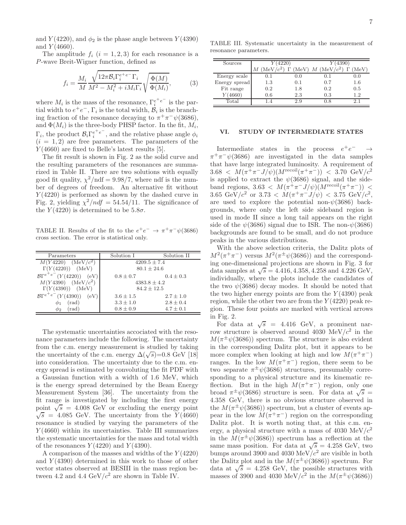and  $Y(4220)$ , and  $\phi_2$  is the phase angle between  $Y(4390)$ and  $Y(4660)$ .

The amplitude  $f_i$   $(i = 1, 2, 3)$  for each resonance is a P-wave Breit-Wigner function, defined as

$$
f_i = \frac{M_i}{M} \frac{\sqrt{12\pi \mathcal{B}_i \Gamma_i^{e^+ e^-} \Gamma_i}}{M^2 - M_i^2 + iM_i \Gamma_i} \sqrt{\frac{\Phi(M)}{\Phi(M_i)}},
$$
(3)

where  $M_i$  is the mass of the resonance,  $\Gamma_i^{e^+e^-}$  $e^+e^-$  is the partial width to  $e^+e^-$ ,  $\Gamma_i$  is the total width,  $\mathcal{B}_i$  is the branching fraction of the resonance decaying to  $\pi^+\pi^-\psi(3686)$ , and  $\Phi(M_i)$  is the three-body PHSP factor. In the fit,  $M_i$ ,  $\Gamma_i$ , the product  $\mathcal{B}_i \Gamma_i^{e^+e^-}$  $e^{i}$ <sup>e</sup>, and the relative phase angle  $\phi_i$  $(i = 1, 2)$  are free parameters. The parameters of the  $Y(4660)$  are fixed to Belle's latest results [5].

The fit result is shown in Fig. 2 as the solid curve and the resulting parameters of the resonances are summarized in Table II. There are two solutions with equally good fit quality,  $\chi^2/\text{ndf} = 9.98/7$ , where ndf is the number of degrees of freedom. An alternative fit without  $Y(4220)$  is performed as shown by the dashed curve in Fig. 2, yielding  $\chi^2/ndf = 54.54/11$ . The significance of the  $Y(4220)$  is determined to be  $5.8\sigma$ .

TABLE II. Results of the fit to the  $e^+e^- \rightarrow \pi^+\pi^-\psi(3686)$ cross section. The error is statistical only.

| Parameters                                          | Solution I       | Solution II   |  |  |
|-----------------------------------------------------|------------------|---------------|--|--|
| $M(Y4220)$ (MeV/ $c^2$ )                            | $4209.5 \pm 7.4$ |               |  |  |
| $\Gamma(Y(4220))$ (MeV)                             | $80.1 \pm 24.6$  |               |  |  |
| $B\Gamma^{e^+e^-}(Y(4220))$<br>(eV)                 | $0.8 \pm 0.7$    | $0.4 \pm 0.3$ |  |  |
| $M(Y4390)$ (MeV/ $c^2$ )                            | $4383.8 \pm 4.2$ |               |  |  |
| $\Gamma(Y(4390))$ (MeV)                             | $84.2 \pm 12.5$  |               |  |  |
| (Y(4390))<br>$\mathcal{B} \Gamma^{e^+ e^-}$<br>(eV) | $3.6 \pm 1.5$    | $2.7 \pm 1.0$ |  |  |
| $(\text{rad})$<br>$\phi_1$                          | $3.3 \pm 1.0$    | $2.8 \pm 0.4$ |  |  |
| $(\text{rad})$<br>Ф2                                | $0.8 \pm 0.9$    | $4.7 \pm 0.1$ |  |  |

The systematic uncertainties accociated with the resonance parameters include the following. The uncertainty from the c.m. energy measurement is studied by taking the uncertainty of the c.m. energy  $\Delta(\sqrt{s})=0.8$  GeV [18] into consideration. The uncertainty due to the c.m. energy spread is estimated by convoluting the fit PDF with a Gaussian function with a width of 1.6 MeV, which is the energy spread determined by the Beam Energy Measurement System [36]. The uncertainty from the fit range is investigated by including the first energy point  $\sqrt{s}$  = 4.008 GeV or excluding the energy point  $\sqrt{s}$  = 4.085 GeV. The uncertainty from the  $Y(4660)$ resonance is studied by varying the parameters of the  $Y(4660)$  within its uncertainties. Table III summarizes the systematic uncertainties for the mass and total width of the resonances  $Y(4220)$  and  $Y(4390)$ .

A comparison of the masses and widths of the  $Y(4220)$ and  $Y(4390)$  determined in this work to those of other vector states observed at BESIII in the mass region between 4.2 and 4.4  $\text{GeV}/c^2$  are shown in Table IV.

TABLE III. Systematic uncertainty in the measurement of resonance parameters.

| Sources        | Y(4220)          |     | Y(4390)               |         |  |
|----------------|------------------|-----|-----------------------|---------|--|
|                | $(MeV/c^2)$<br>М |     | (MeV) M (MeV/ $c^2$ ) | (MeV)   |  |
| Energy scale   | 0.1              | 0.0 | 0.1                   | 0.0     |  |
| Energy spread  | 1.3              | 0.1 | 0.7                   | $1.6\,$ |  |
| Fit range      | 0.2              | 1.8 | 0.2                   | 0.5     |  |
| Y(4660)        | 0.6              | 2.3 | 0.3                   | 1.2.    |  |
| $_{\rm Total}$ |                  | 2.9 | በ ጸ                   |         |  |

## VI. STUDY OF INTERMEDIATE STATES

Intermediate states in the process  $e^+e$ <sup>−</sup> →  $\pi^+\pi^-\psi(3686)$  are investigated in the data samples that have large integrated luminosity. A requirement of  $3.68 < M(\pi^{+}\pi^{-}J/\psi)(M^{\rm recoil}(\pi^{+}\pi^{-})) < 3.70~{\rm GeV}/c^{2}$ is applied to extract the  $\psi(3686)$  signal, and the sideband regions,  $3.63 < M(\pi^+\pi^-J/\psi)(M^{\text{recoil}}(\pi^+\pi^-))$ 3.65 GeV/ $c^2$  or 3.73 <  $M(\pi^+\pi^-J/\psi)$  < 3.75 GeV/ $c^2$ , are used to explore the potential non- $\psi(3686)$  backgrounds, where only the left side sideband region is used in mode II since a long tail appears on the right side of the  $\psi(3686)$  signal due to ISR. The non- $\psi(3686)$ backgrounds are found to be small, and do not produce peaks in the various distributions.

With the above selection criteria, the Dalitz plots of  $M^2(\pi^+\pi^-)$  versus  $M^2(\pi^{\pm}\psi(3686))$  and the corresponding one-dimensional projections are shown in Fig. 3 for data samples at  $\sqrt{s} = 4.416, 4.358, 4.258$  and  $4.226$  GeV, individually, where the plots include the candidates of the two  $\psi(3686)$  decay modes. It should be noted that the two higher energy points are from the  $Y(4390)$  peak region, while the other two are from the  $Y(4220)$  peak region. These four points are marked with vertical arrows in Fig. 2.

For data at  $\sqrt{s}$  = 4.416 GeV, a prominent narrow structure is observed around 4030 MeV/ $c^2$  in the  $M(\pi^{\pm}\psi(3686))$  spectrum. The structure is also evident in the corresponding Dalitz plot, but it appears to be more complex when looking at high and low  $M(\pi^+\pi^-)$ ranges. In the low  $M(\pi^+\pi^-)$  region, there seem to be two separate  $\pi^{\pm}\psi(3686)$  structures, presumably corresponding to a physical structure and its kinematic reflection. But in the high  $M(\pi^+\pi^-)$  region, only one broad  $\pi^{\pm}\psi(3686)$  structure is seen. For data at  $\sqrt{s}$  = 4.358 GeV, there is no obvious structure observed in the  $M(\pi^{\pm}\psi(3686))$  spectrum, but a cluster of events appear in the low  $M(\pi^+\pi^-)$  region on the corresponding Dalitz plot. It is worth noting that, at this c.m. energy, a physical structure with a mass of 4030 MeV/ $c^2$ in the  $M(\pi^{\pm}\psi(3686))$  spectrum has a reflection at the same mass position. For data at  $\sqrt{s} = 4.258$  GeV, two bumps around 3900 and 4030 MeV/ $c^2$  are visible in both the Dalitz plot and in the  $M(\pi^{\pm}\psi(3686))$  spectrum. For data at  $\sqrt{s}$  = 4.258 GeV, the possible structures with masses of 3900 and 4030 MeV/ $c^2$  in the  $M(\pi^{\pm}\psi(3686))$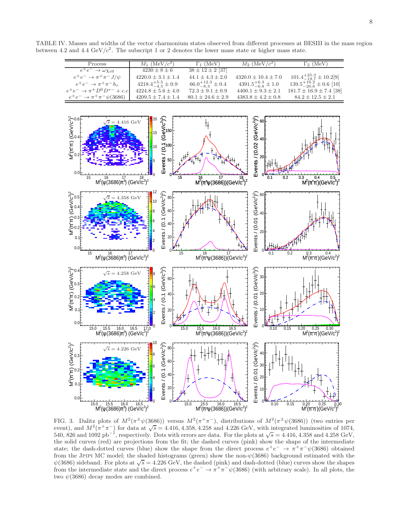TABLE IV. Masses and widths of the vector charmonium states observed from different processes at BESIII in the mass region between 4.2 and 4.4 GeV/ $c^2$ . The subscript 1 or 2 denotes the lower mass state or higher mass state.

| Process                                                                                                                                                                                                                                               | $M_1$ (MeV/ $c^2$ )                                                                                   | $\Gamma_1$ (MeV)                                                                                      | $M_2$ (MeV/ $c^2$ )                                                                  | $\Gamma_2$ (MeV)                                                                                                           |
|-------------------------------------------------------------------------------------------------------------------------------------------------------------------------------------------------------------------------------------------------------|-------------------------------------------------------------------------------------------------------|-------------------------------------------------------------------------------------------------------|--------------------------------------------------------------------------------------|----------------------------------------------------------------------------------------------------------------------------|
| $e^+e^- \rightarrow \omega \chi_{c0}$                                                                                                                                                                                                                 | $4230\pm8\pm6$                                                                                        | $38 \pm 12 \pm 2$ [37]                                                                                |                                                                                      |                                                                                                                            |
| $e^+e^- \rightarrow \pi^+\pi^-J/\psi$                                                                                                                                                                                                                 | $4220.0\pm3.1\pm1.4$                                                                                  | $44.1\pm4.3\pm2.0$                                                                                    | $4320.0 \pm 10.4 \pm 7.0$                                                            | $\begin{array}{c} 101.4^{+25.3}_{-19.7} \pm 10.2[9] \\ 139.5^{+16.2}_{-20.6} \pm 0.6\ [10] \end{array}$                    |
| $e^+e^-\to\pi^+\pi^-h_c$<br>$\rightarrow \pi^+ D^0 D^{*-} + c.c$                                                                                                                                                                                      | $4218.4^{+5.5}_{-4.5}\pm 0.9$<br>$4224.8 \pm 5.6 \pm 4.0$                                             | $66.0^{+12.3}_{-8.3}\pm0.4$                                                                           | $4391.5^{+6.3}_{-6.8}\pm1.0$<br>$4400.1 \pm 9.3 \pm 2.1$                             |                                                                                                                            |
| $\pi^{+}\pi^{-}\psi(3686)$                                                                                                                                                                                                                            | $4209.5 \pm 7.4 \pm 1.4$                                                                              | $72.3\pm9.1\pm0.9$<br>$80.1\pm24.6\pm2.9$                                                             | $4383.8 \pm 4.2 \pm 0.8$                                                             | $181.7 \pm 16.9 \pm 7.4$ [38]<br>$84.2\pm12.5\pm2.1$                                                                       |
|                                                                                                                                                                                                                                                       |                                                                                                       |                                                                                                       |                                                                                      |                                                                                                                            |
| $M^{2}(\pi^{+}\pi)$ (GeV/c <sup>2</sup> ) <sup>2</sup><br>0.2<br>2<br>2<br>$= 4.416 \text{ GeV}$<br>0.0<br>15<br>$\frac{16}{16}$ $\frac{17}{12}$ $\frac{18}{18}$<br>M <sup>2</sup> ( $\psi$ (3686) $\pi^{\pm}$ ) (GeV/c <sup>2</sup> ) <sup>2</sup>   | Events / (0 <u>.1</u> (Ge <u>V</u> /c <sup>2)2</sup><br>。 <sub>영</sub> 응   영<br>15<br>10<br>15        | $\frac{16}{M^2(\pi^{\pm}\psi(3686))(GeV/c^2)^2}$                                                      | Events / (0.02 (GeV/c $^{2}$ ) $^{\circ}$<br>e a a<br>0.1                            | 0.2<br>$\frac{0.3}{M^2(\pi^+\pi^2)(\text{GeV}/c^2)^2}$                                                                     |
| $\frac{M^2(\pi^*\pi)}{2} \mathcal{L} \cong \frac{1}{2} \mathcal{L} \cong \frac{1}{2}$<br>0.1<br>0.0<br>15<br>$\frac{16}{16}$ $\frac{17}{(16)(1686)\pi^{\pm}}$ (GeV/c <sup>2</sup> ) <sup>2</sup>                                                      | Events / (0.1 (GeV/c $^{2}$ )<br>$\frac{8}{5}$ = $\frac{8}{5}$ = $\frac{8}{5}$<br>358 Ge\<br>10<br>15 | $\frac{16}{M^2(\pi^{\pm}\psi(3686))(GeV/c^2)^2}$                                                      | $(GeV/c2)2$<br>$\approx$ 8<br>$E$ vents / (0.01<br>0.1                               | $\frac{0.3}{M^2(\pi^+\pi^*)(GeV/c^2)^2}$<br>0.2                                                                            |
| $\frac{\mathsf{M}^2(\pi^*\pi)}{\mathbb{S}}\frac{(\mathsf{GeV}/c^2)^2}{\mathbb{S}}$<br>$=4.258 \text{ GeV}$<br>$\sqrt{s}$<br>0.0<br>15.0<br>$0$ 15.5 16.0 16.5 17.0<br>M <sup>2</sup> ( $\psi$ (3686) $\pi^{\pm}$ ) (GeV/c <sup>2</sup> ) <sup>2</sup> | Events / $(0.1 \text{ (GeV/c}^2)^2$<br>60<br>40<br>20                                                 | 15.0<br>15.5 16.0 16.5<br>M <sup>2</sup> ( $\pi^{\pm} \psi$ (3686))(GeV/c <sup>2</sup> ) <sup>2</sup> | Events / $(0.01$ $(GeV/c^2)^2$<br>20<br>0.10                                         | 0.20<br>20 0.25 0.30<br>M <sup>2</sup> ( $\pi$ <sup>+</sup> $\pi$ <sup>-</sup> )(GeV/c <sup>2</sup> ) <sup>2</sup><br>0.15 |
| $1/C^2$<br>$=4.226 \text{ GeV}$<br>$\sqrt{s}$<br>$M^{2}(\pi^{+}\pi^{2})$ (GeV)<br>0.0<br>15.0 15.5 16.0 16.5<br>M <sup>2</sup> ( $\psi$ (3686) $\pi^2$ ) (GeV/c <sup>2</sup> ) <sup>2</sup>                                                           | Events / $(0.1)$ (GeV<br>60<br>40<br>20<br>2<br>$\Omega$                                              | 15.0<br>$\frac{15.5}{M^2(\pi^{\pm}\psi(3686)) (GeV/c^2)^2}$                                           | ूँ^<br>५<br>Events / $(0.01$ (GeV<br>$\approx$ $\approx$ $\approx$ $\approx$<br>0.10 | 0.15<br>0.20 0.25 0.30<br>M <sup>2</sup> ( $\pi$ <sup>+</sup> $\pi$ )(GeV/ $c^2$ ) <sup>2</sup>                            |

FIG. 3. Dalitz plots of  $M^2(\pi^{\pm}\psi(3686))$  versus  $M^2(\pi^{\pm}\pi^{-})$ , distributions of  $M^2(\pi^{\pm}\psi(3686))$  (two entries per event), and  $M^2(\pi^+\pi^-)$  for data at  $\sqrt{s} = 4.416, 4.358, 4.258$  and 4.226 GeV, with integrated luminosities of 1074, 540, 826 and 1092 pb<sup>-1</sup>, respectively. Dots with errors are data. For the plots at  $\sqrt{s} = 4.416, 4.358$  and  $4.258$  GeV, the solid curves (red) are projections from the fit; the dashed curves (pink) show the shape of the intermediate state; the dash-dotted curves (blue) show the shape from the direct process  $e^+e^- \rightarrow \pi^+\pi^-\psi(3686)$  obtained from the JPIPI MC model; the shaded histograms (green) show the non- $\psi(3686)$  background estimated with the  $\psi(3686)$  sideband. For plots at  $\sqrt{s} = 4.226$  GeV, the dashed (pink) and dash-dotted (blue) curves show the shapes from the intermediate state and the direct process  $e^+e^- \to \pi^+\pi^-\psi(3686)$  (with arbitrary scale). In all plots, the two  $\psi(3686)$  decay modes are combined.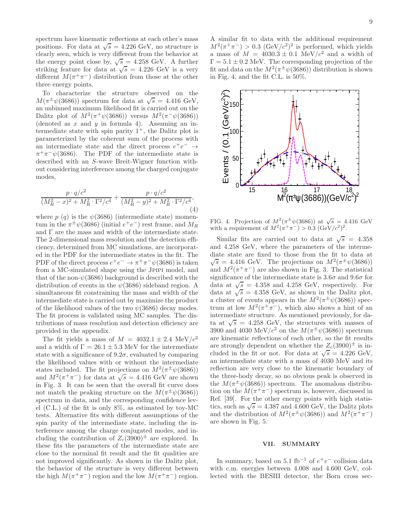spectrum have kinematic reflections at each other's mass positions. For data at  $\sqrt{s} = 4.226 \text{ GeV}$ , no structure is clearly seen, which is very different from the behavior at the energy point close by,  $\sqrt{s} = 4.258 \text{ GeV}$ . A further striking feature for data at  $\sqrt{s} = 4.226$  GeV is a very different  $M(\pi^+\pi^-)$  distribution from those at the other three energy points.

To characterize the structure observed on the  $M(\pi^{\pm}\psi(3686))$  spectrum for data at  $\sqrt{s} = 4.416 \text{ GeV},$ an unbinned maximum likelihood fit is carried out on the Dalitz plot of  $M^2(\pi^+\psi(3686))$  versus  $M^2(\pi^-\psi(3686))$ (denoted as  $x$  and  $y$  in formula 4). Assuming an intermediate state with spin parity  $1^+$ , the Dalitz plot is parameterized by the coherent sum of the process with an intermediate state and the direct process  $e^+e^- \rightarrow$  $\pi^{+}\pi^{-}\psi(3686)$ . The PDF of the intermediate state is described with an S-wave Breit-Wigner function without considering interference among the charged conjugate modes,

$$
\frac{p \cdot q/c^2}{(M_R^2 - x)^2 + M_R^2 \cdot \Gamma^2/c^4} + \frac{p \cdot q/c^2}{(M_R^2 - y)^2 + M_R^2 \cdot \Gamma^2/c^4},\tag{4}
$$

where  $p$  (q) is the  $\psi$ (3686) (intermediate state) momentum in the  $\pi^{\pm}\psi(3686)$  (initial  $e^+e^-$ ) rest frame, and  $M_R$ and Γ are the mass and width of the intermediate state. The 2-dimensional mass resolution and the detection efficiency, determined from MC simulations, are incorporated in the PDF for the intermediate states in the fit. The PDF of the direct process  $e^+e^- \to \pi^+\pi^-\psi(3686)$  is taken from a MC-simulated shape using the Jpipi model, and that of the non- $\psi(3686)$  background is described with the distribution of events in the  $\psi(3686)$  sideband region. A simultaneous fit constraining the mass and width of the intermediate state is carried out by maximize the product of the likelihood values of the two  $\psi(3686)$  decay modes. The fit process is validated using MC samples. The distributions of mass resolution and detection efficiency are provided in the appendix.

The fit yields a mass of  $M = 4032.1 \pm 2.4 \text{ MeV}/c^2$ and a width of  $\Gamma = 26.1 \pm 5.3$  MeV for the intermediate state with a significance of  $9.2\sigma$ , evaluated by comparing the likelihood values with or without the intermediate states included. The fit projections on  $M^2(\pi^{\pm}\psi(3686))$ and  $M^2(\pi^+\pi^-)$  for data at  $\sqrt{s} = 4.416$  GeV are shown in Fig. 3. It can be seen that the overall fit curve does not match the peaking structure on the  $M(\pi^{\pm}\psi(3686))$ spectrum in data, and the corresponding confidence level (C.L.) of the fit is only 8%, as estimated by toy-MC tests. Alternative fits with different assumptions of the spin parity of the intermediate state, including the interference among the charge conjugated modes, and including the contribution of  $Z_c(3900)^{\pm}$  are explored. In these fits the parameters of the intermediate state are close to the norminal fit result and the fit qualities are not improved significantly. As shown in the Dalitz plot, the behavior of the structure is very different between the high  $M(\pi^+\pi^-)$  region and the low  $M(\pi^+\pi^-)$  region.

A similar fit to data with the additional requirement  $M^2(\pi^+\pi^-) > 0.3 \text{ (GeV/}c^2)^2$  is performed, which yields a mass of  $M = 4030.3 \pm 0.1$  MeV/ $c^2$  and a width of  $\Gamma = 5.1 \pm 0.2$  MeV. The corresponding projection of the fit and data on the  $M^2(\pi^{\pm}\psi(3686))$  distribution is shown in Fig. 4, and the fit C.L. is 50%.



FIG. 4. Projection of  $M^2(\pi^{\pm}\psi(3686))$  at  $\sqrt{s} = 4.416 \text{ GeV}$ with a requirement of  $M^2(\pi^+\pi^-) > 0.3 \text{ (GeV/c}^2)^2$ .

Similar fits are carried out to data at  $\sqrt{s}$  = 4.358 and 4.258 GeV, where the parameters of the intermediate state are fixed to those from the fit to data at  $\sqrt{s}$  = 4.416 GeV. The projections on  $M^2(\pi^{\pm}\psi(3686))$ and  $M^2(\pi^+\pi^-)$  are also shown in Fig. 3. The statistical significance of the intermediate state is  $3.6\sigma$  and  $9.6\sigma$  for data at  $\sqrt{s}$  = 4.358 and 4.258 GeV, respectively. For data at  $\sqrt{s}$  = 4.358 GeV, as shown in the Dalitz plot, a cluster of events appears in the  $M^2(\pi^{\pm}\psi(3686))$  spectrum at low  $M^2(\pi^+\pi^-)$ , which also shows a hint of an intermediate structure. As mentioned previously, for data at  $\sqrt{s}$  = 4.258 GeV, the structures with masses of 3900 and 4030 MeV/ $c^2$  on the  $M(\pi^{\pm}\psi(3686))$  spectrum are kinematic reflections of each other, so the fit results are strongly dependent on whether the  $Z_c(3900)^{\pm}$  is included in the fit or not. For data at  $\sqrt{s} = 4.226 \text{ GeV}$ , an intermediate state with a mass of 4030 MeV and its reflection are very close to the kinematic boundary of the three-body decay, so no obvious peak is observed in the  $M(\pi^{\pm}\psi(3686))$  spectrum. The anomalous distribution on the  $M(\pi^+\pi^-)$  spectrum is, however, discussed in Ref. [39]. For the other energy points with high statistics, such as  $\sqrt{s} = 4.387$  and 4.600 GeV, the Dalitz plots and the distribution of  $M^2(\pi^{\pm}\psi(3686))$  and  $M^2(\pi^+\pi^-)$ are shown in Fig. 5.

#### VII. SUMMARY

In summary, based on 5.1 fb<sup>-1</sup> of  $e^+e^-$  collision data with c.m. energies between 4.008 and 4.600 GeV, collected with the BESIII detector, the Born cross sec-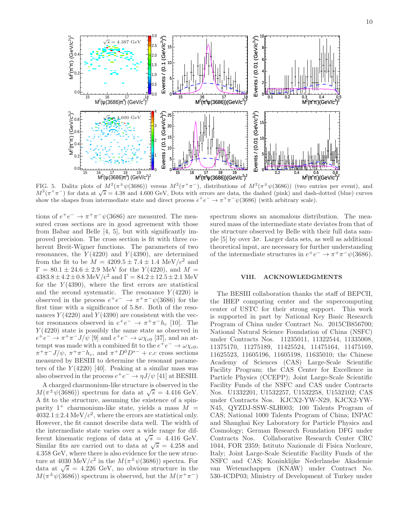

FIG. 5. Dalitz plots of  $M^2(\pi^{\pm}\psi(3686))$  versus  $M^2(\pi^{\pm}\pi^{-})$ , distributions of  $M^2(\pi^{\pm}\psi(3686))$  (two entries per event), and  $M^2(\pi^+\pi^-)$  for data at  $\sqrt{s} = 4.38$  and 4.600 GeV, Dots with errors are data, the dashed (pink) and dash-dotted (blue) curves show the shapes from intermediate state and direct process  $e^+e^- \to \pi^+\pi^-\psi(3686)$  (with arbitrary scale).

tions of  $e^+e^- \to \pi^+\pi^-\psi(3686)$  are measured. The measured cross sections are in good agreement with those from Babar and Belle [4, 5], but with significantly improved precision. The cross section is fit with three coherent Breit-Wigner functions. The parameters of two resonances, the  $Y(4220)$  and  $Y(4390)$ , are determined from the fit to be  $M = 4209.5 \pm 7.4 \pm 1.4 \text{ MeV}/c^2$  and  $\Gamma = 80.1 \pm 24.6 \pm 2.9$  MeV for the  $Y(4220)$ , and  $M =$  $4383.8 \pm 4.2 \pm 0.8$  MeV/c<sup>2</sup> and  $\Gamma = 84.2 \pm 12.5 \pm 2.1$  MeV for the  $Y(4390)$ , where the first errors are statistical and the second systematic. The resonance  $Y(4220)$  is observed in the process  $e^+e^- \rightarrow \pi^+\pi^-\psi(3686)$  for the first time with a significance of  $5.8\sigma$ . Both of the resonances  $Y(4220)$  and  $Y(4390)$  are consistent with the vector resonances observed in  $e^+e^- \to \pi^+\pi^-h_c$  [10]. The  $Y(4220)$  state is possibly the same state as observed in  $e^+e^- \to \pi^+\pi^-J/\psi$  [9] and  $e^+e^- \to \omega \chi_{c0}$  [37], and an attempt was made with a combined fit to the  $e^+e^- \to \omega \chi_{c0}$ ,  $\pi^+\pi^-J/\psi$ ,  $\pi^+\pi^-h_c$ , and  $\pi^+D^0D^{*-}+c.c$  cross sections measured by BESIII to determine the resonant parameters of the  $Y(4220)$  [40]. Peaking at a similar mass was also observed in the process  $e^+e^- \to \eta J/\psi$  [41] at BESIII.

A charged charmonium-like structure is observed in the  $M(\pi^{\pm}\psi(3686))$  spectrum for data at  $\sqrt{s} = 4.416 \text{ GeV}.$ A fit to the structure, assuming the existence of a spinparity  $1^+$  charmonium-like state, yields a mass  $M =$  $4032.1 \pm 2.4 \text{ MeV}/c^2$ , where the errors are statistical only. However, the fit cannot describe data well. The width of the intermediate state varies over a wide range for different kinematic regions of data at  $\sqrt{s}$  = 4.416 GeV. Similar fits are carried out to data at  $\sqrt{s} = 4.258$  and 4.358 GeV, where there is also evidence for the new structure at 4030 MeV/ $c^2$  in the  $M(\pi^{\pm}\psi(3686))$  spectra. For data at  $\sqrt{s}$  = 4.226 GeV, no obvious structure in the  $M(\pi^{\pm}\psi(3686))$  spectrum is observed, but the  $M(\pi^{+}\pi^{-})$ 

spectrum shows an anomalous distribution. The measured mass of the intermediate state deviates from that of the structure observed by Belle with their full data sample [5] by over  $3\sigma$ . Larger data sets, as well as additional theoretical input, are necessary for further understanding of the intermediate structures in  $e^+e^- \to \pi^+\pi^-\psi(3686)$ .

#### VIII. ACKNOWLEDGMENTS

The BESIII collaboration thanks the staff of BEPCII, the IHEP computing center and the supercomputing center of USTC for their strong support. This work is supported in part by National Key Basic Research Program of China under Contract No. 2015CB856700; National Natural Science Foundation of China (NSFC) under Contracts Nos. 11235011, 11322544, 11335008, 11375170, 11275189, 11425524, 11475164, 11475169, 11625523, 11605196, 11605198, 11635010; the Chinese Academy of Sciences (CAS) Large-Scale Scientific Facility Program; the CAS Center for Excellence in Particle Physics (CCEPP); Joint Large-Scale Scientific Facility Funds of the NSFC and CAS under Contracts Nos. U1332201, U1532257, U1532258, U1532102; CAS under Contracts Nos. KJCX2-YW-N29, KJCX2-YW-N45, QYZDJ-SSW-SLH003; 100 Talents Program of CAS; National 1000 Talents Program of China; INPAC and Shanghai Key Laboratory for Particle Physics and Cosmology; German Research Foundation DFG under Contracts Nos. Collaborative Research Center CRC 1044, FOR 2359; Istituto Nazionale di Fisica Nucleare, Italy; Joint Large-Scale Scientific Facility Funds of the NSFC and CAS; Koninklijke Nederlandse Akademie van Wetenschappen (KNAW) under Contract No. 530-4CDP03; Ministry of Development of Turkey under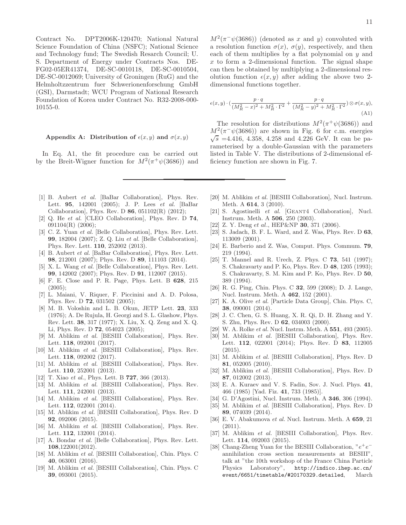Contract No. DPT2006K-120470; National Natural Science Foundation of China (NSFC); National Science and Technology fund; The Swedish Resarch Council; U. S. Department of Energy under Contracts Nos. DE-FG02-05ER41374, DE-SC-0010118, DE-SC-0010504, DE-SC-0012069; University of Groningen (RuG) and the Helmholtzzentrum fuer Schwerionenforschung GmbH (GSI), Darmstadt; WCU Program of National Research Foundation of Korea under Contract No. R32-2008-000- 10155-0.

#### Appendix A: Distribution of  $\epsilon(x, y)$  and  $\sigma(x, y)$

In Eq. A1, the fit procedure can be carried out by the Breit-Wigner function for  $M^2(\pi^+\psi(3686))$  and

 $M^2(\pi^-\psi(3686))$  (denoted as x and y) convoluted with a resolution function  $\sigma(x)$ ,  $\sigma(y)$ , respectively, and then each of them multiplies by a flat polynomial on  $y$  and  $x$  to form a 2-dimensional function. The signal shape can then be obtained by multiplying a 2-dimensional resolution function  $\epsilon(x, y)$  after adding the above two 2dimensional functions together.

$$
\epsilon(x,y) \cdot \left(\frac{p \cdot q}{(M_R^2 - x)^2 + M_R^2 \cdot \Gamma^2} + \frac{p \cdot q}{(M_R^2 - y)^2 + M_R^2 \cdot \Gamma^2}\right) \otimes \sigma(x,y),\tag{A1}
$$

The resolution for distributions  $M^2(\pi^+\psi(3686))$  and  $M^2(\pi^-\psi(3686))$  are shown in Fig. 6 for c.m. energies  $\sqrt{s}$  =4.416, 4.358, 4.258 and 4.226 GeV. It can be parameterised by a double-Gaussian with the parameters listed in Table V. The distributions of 2-dimensional efficiency function are shown in Fig. 7.

- [1] B. Aubert et al. [BaBar Collaboration], Phys. Rev. Lett. 95, 142001 (2005); J. P. Lees et al. [BaBar Collaboration], Phys. Rev. D 86, 051102(R) (2012);
- [2] Q. He et al. [CLEO Collaboration], Phys. Rev. D 74, 091104(R) (2006);
- [3] C. Z. Yuan *et al.* [Belle Collaboration], Phys. Rev. Lett. 99, 182004 (2007); Z. Q. Liu et al. [Belle Collaboration], Phys. Rev. Lett. 110, 252002 (2013).
- [4] B. Aubert et al. [BaBar Collaboration], Phys. Rev. Lett. 98, 212001 (2007); Phys. Rev. D 89, 111103 (2014).
- [5] X. L. Wang *et al.* [Belle Collaboration], Phys. Rev. Lett. 99, 142002 (2007); Phys. Rev. D 91, 112007 (2015).
- [6] F. E. Close and P. R. Page, Phys. Lett. B 628, 215  $(2005)$ ;
- [7] L. Maiani, V. Riquer, F. Piccinini and A. D. Polosa, Phys. Rev. D 72, 031502 (2005);
- [8] M. B. Voloshin and L. B. Okun, JETP Lett. 23, 333 (1976); A. De Rujula, H. Georgi and S. L. Glashow, Phys. Rev. Lett. 38, 317 (1977); X. Liu, X. Q. Zeng and X. Q. Li, Phys. Rev. D 72, 054023 (2005);
- [9] M. Ablikim et al. [BESIII Collaboration], Phys. Rev. Lett. 118, 092001 (2017).
- [10] M. Ablikim et al. [BESIII Collaboration], Phys. Rev. Lett. 118, 092002 (2017).
- [11] M. Ablikim et al. [BESIII Collaboration], Phys. Rev. Lett. 110, 252001 (2013).
- [12] T. Xiao *et al.*, Phys. Lett. B **727**, 366 (2013).
- [13] M. Ablikim *et al.* [BESIII Collaboration], Phys. Rev. Lett. 111, 242001 (2013).
- [14] M. Ablikim et al. [BESIII Collaboration], Phys. Rev. Lett. 112, 022001 (2014).
- [15] M. Ablikim et al. [BESIII Collaboration], Phys. Rev. D 92, 092006 (2015).
- [16] M. Ablikim et al. [BESIII Collaboration], Phys. Rev. Lett. 112, 132001 (2014).
- [17] A. Bondar et al. [Belle Collaboration], Phys. Rev. Lett. 108,122001(2012).
- [18] M. Ablikim et al. [BESIII Collaboration], Chin. Phys. C 40, 063001 (2016).
- [19] M. Ablikim et al. [BESIII Collaboration], Chin. Phys. C 39, 093001 (2015).
- [20] M. Ablikim et al. [BESIII Collaboration], Nucl. Instrum. Meth. A 614, 3 (2010).
- [21] S. Agostinelli et al. [Geant4 Collaboration], Nucl. Instrum. Meth. A 506, 250 (2003).
- [22] Z. Y. Deng et al., HEP&NP 30, 371 (2006).
- [23] S. Jadach, B. F. L. Ward, and Z. Was, Phys. Rev. D 63, 113009 (2001).
- [24] E. Barberio and Z. Was, Comput. Phys. Commum. 79, 219 (1994).
- [25] T. Mannel and R. Urech, Z. Phys. C **73**, 541 (1997); S. Chakravarty and P. Ko, Phys. Rev. D 48, 1205 (1993); S. Chakravarty, S. M. Kim and P. Ko, Phys. Rev. D 50, 389 (1994).
- [26] R. G. Ping, Chin. Phys. C 32, 599 (2008); D. J. Lange, Nucl. Instrum. Meth. A 462, 152 (2001).
- [27] K. A. Olive et al. [Particle Data Group], Chin. Phys. C, 38, 090001 (2014).
- [28] J. C. Chen, G. S. Huang, X. R. Qi, D. H. Zhang and Y. S. Zhu, Phys. Rev. D 62, 034003 (2000).
- [29] W. A. Rolke et al. Nucl. Instrm. Meth. A 551, 493 (2005).
- [30] M. Ablikim et al. [BESIII Collaboration], Phys. Rev. Lett. 112, 022001 (2014); Phys. Rev. D 83, 112005 (2015).
- [31] M. Ablikim et al. [BESIII Collaboration], Phys. Rev. D 81, 052005 (2010).
- [32] M. Ablikim et al. [BESIII Collaboration], Phys. Rev. D 87, 012002 (2013).
- [33] E. A. Kuraev and V. S. Fadin, Sov. J. Nucl. Phys. 41, 466 (1985) [Yad. Fiz. 41, 733 (1985)].
- [34] G. D'Agostini, Nucl. Instrum. Meth. A 346, 306 (1994).
- [35] M. Ablikim et al. [BESIII Collaboration], Phys. Rev. D 89, 074039 (2014).
- [36] E. V. Abakumova et al. Nucl. Instrum. Meth. A 659, 21 (2011).
- [37] M. Ablikim et al. [BESIII Collaboration], Phys. Rev. Lett. 114, 092003 (2015).
- [38] Chang-Zheng Yuan for the BESIII Collaboration, " $e^+e^$ annihilation cross section measurements at BESIII", talk at "the 10th workshop of the France China Particle Physics Laboratory", http://indico.ihep.ac.cn/ event/6651/timetable/#20170329.detailed, March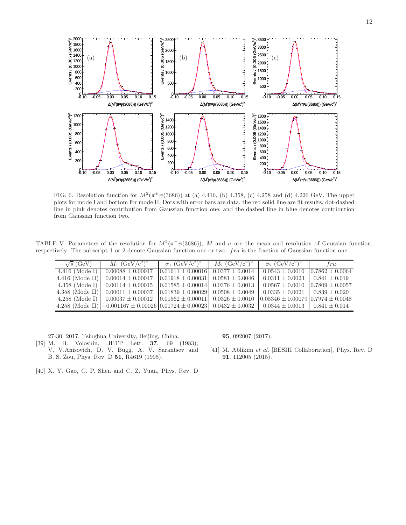

FIG. 6. Resolution function for  $M^2(\pi^{\pm}\psi(3686))$  at (a) 4.416, (b) 4.358, (c) 4.258 and (d) 4.226 GeV. The upper plots for mode I and bottom for mode II. Dots with error bars are data, the red solid line are fit results, dot-dashed line in pink denotes contribution from Gaussian function one, and the dashed line in blue denotes contribution from Gaussian function two.

TABLE V. Parameters of the resolution for  $M^2(\pi^{\pm}\psi(3686))$ , M and  $\sigma$  are the mean and resolution of Gaussian function, respectively. The subscript 1 or 2 denote Gaussian function one or two. *fra* is the fraction of Gaussian function one.

| $\sqrt{s}$ (GeV)  | $M_1 \ (\text{GeV}/c^2)^2$                                                        | $\sigma_1$ (GeV/c <sup>2</sup> ) <sup>2</sup> | $M_2 \; (\text{GeV}/c^2)^2$ | $\sigma_2 \sqrt{(\text{GeV}/c^2)^2}$      | fra |
|-------------------|-----------------------------------------------------------------------------------|-----------------------------------------------|-----------------------------|-------------------------------------------|-----|
| $4.416$ (Mode I)  | $0.00088 \pm 0.00017$                                                             | $0.01611 \pm 0.00016$ 0.0377 $\pm 0.0014$     |                             | $0.0543 \pm 0.0010$ 0.7862 $\pm$ 0.0064   |     |
| $4.416$ (Mode II) | $0.00014 \pm 0.00047$                                                             | $0.01918 \pm 0.00031$ 0.0581 $\pm 0.0046$     |                             | $0.0311 \pm 0.0023$ 0.841 $\pm 0.019$     |     |
| $4.358$ (Mode I)  | $0.00114 \pm 0.00015$                                                             | $0.01585 \pm 0.00014$ 0.0376 $\pm 0.0013$     |                             | $0.0567 \pm 0.0010$ 0.7809 $\pm$ 0.0057   |     |
| $4.358$ (Mode II) | $0.00011 \pm 0.00037$                                                             | $0.01839 \pm 0.00029$ 0.0508 $\pm 0.0049$     |                             | $0.0335 \pm 0.0021$ 0.839 $\pm$ 0.020     |     |
| 4.258 (Mode I)    | $0.00037 \pm 0.00012$                                                             | $0.01562 \pm 0.00011$ 0.0326 $\pm 0.0010$     |                             | $0.05346 \pm 0.00079$ 0.7974 $\pm 0.0048$ |     |
|                   | 4.258 (Mode II) $-0.001167 \pm 0.00026$ 0.01724 $\pm 0.00023$ 0.0432 $\pm 0.0032$ |                                               |                             | $0.0344 \pm 0.0013$ 0.841 $\pm$ 0.014     |     |

27-30, 2017, Tsinghua University, Beijing, China.

[39] M. B. Voloshin, JETP Lett. 37, 69 (1983); V. V.Anisovich, D. V. Bugg, A. V. Sarantsev and B. S. Zou, Phys. Rev. D 51, R4619 (1995).

95, 092007 (2017).

- [41] M. Ablikim et al. [BESIII Collaboration], Phys. Rev. D 91, 112005 (2015).
- [40] X. Y. Gao, C. P. Shen and C. Z. Yuan, Phys. Rev. D